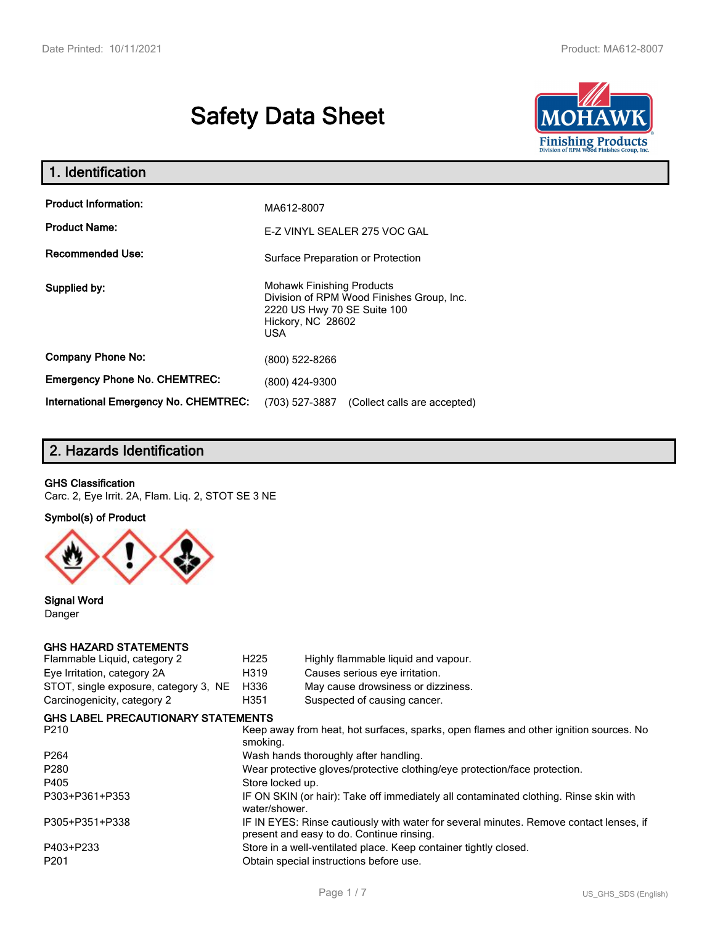# **Safety Data Sheet**



| 1. Identification                                   |                                                                                                                                                 |
|-----------------------------------------------------|-------------------------------------------------------------------------------------------------------------------------------------------------|
| <b>Product Information:</b><br><b>Product Name:</b> | MA612-8007<br>E-Z VINYL SEALER 275 VOC GAL                                                                                                      |
| <b>Recommended Use:</b>                             | Surface Preparation or Protection                                                                                                               |
| Supplied by:                                        | <b>Mohawk Finishing Products</b><br>Division of RPM Wood Finishes Group, Inc.<br>2220 US Hwy 70 SE Suite 100<br>Hickory, NC 28602<br><b>USA</b> |
| <b>Company Phone No:</b>                            | (800) 522-8266                                                                                                                                  |
| <b>Emergency Phone No. CHEMTREC:</b>                | (800) 424-9300                                                                                                                                  |
| <b>International Emergency No. CHEMTREC:</b>        | (703) 527-3887<br>(Collect calls are accepted)                                                                                                  |

# **2. Hazards Identification**

#### **GHS Classification**

Carc. 2, Eye Irrit. 2A, Flam. Liq. 2, STOT SE 3 NE

#### **Symbol(s) of Product**



**Signal Word** Danger

#### **GHS HAZARD STATEMENTS**

| Flammable Liquid, category 2              | H <sub>225</sub>                                                                                                                    | Highly flammable liquid and vapour.                                                   |  |
|-------------------------------------------|-------------------------------------------------------------------------------------------------------------------------------------|---------------------------------------------------------------------------------------|--|
| Eye Irritation, category 2A               | H319                                                                                                                                | Causes serious eye irritation.                                                        |  |
| STOT, single exposure, category 3, NE     | H336                                                                                                                                | May cause drowsiness or dizziness.                                                    |  |
| Carcinogenicity, category 2               | H351                                                                                                                                | Suspected of causing cancer.                                                          |  |
| <b>GHS LABEL PRECAUTIONARY STATEMENTS</b> |                                                                                                                                     |                                                                                       |  |
| P210                                      | smoking.                                                                                                                            | Keep away from heat, hot surfaces, sparks, open flames and other ignition sources. No |  |
| P <sub>264</sub>                          | Wash hands thoroughly after handling.                                                                                               |                                                                                       |  |
| P280                                      | Wear protective gloves/protective clothing/eye protection/face protection.                                                          |                                                                                       |  |
| P405                                      | Store locked up.                                                                                                                    |                                                                                       |  |
| P303+P361+P353                            | water/shower.                                                                                                                       | IF ON SKIN (or hair): Take off immediately all contaminated clothing. Rinse skin with |  |
| P305+P351+P338                            | IF IN EYES: Rinse cautiously with water for several minutes. Remove contact lenses, if<br>present and easy to do. Continue rinsing. |                                                                                       |  |
| P403+P233                                 | Store in a well-ventilated place. Keep container tightly closed.                                                                    |                                                                                       |  |
| P201                                      |                                                                                                                                     | Obtain special instructions before use.                                               |  |
|                                           |                                                                                                                                     |                                                                                       |  |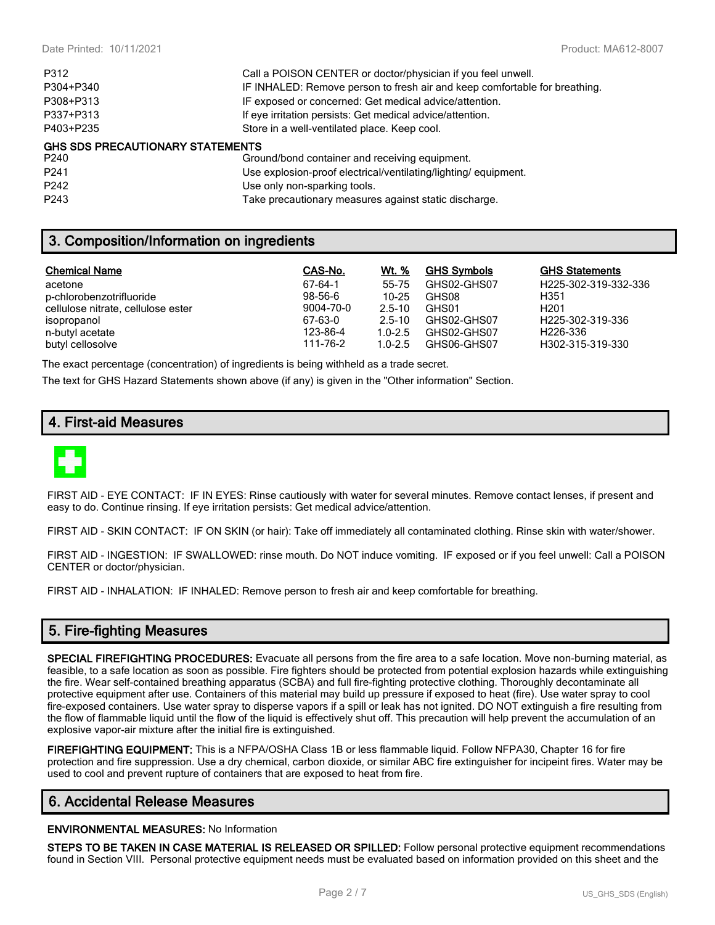| P312                                    | Call a POISON CENTER or doctor/physician if you feel unwell.               |
|-----------------------------------------|----------------------------------------------------------------------------|
| P304+P340                               | IF INHALED: Remove person to fresh air and keep comfortable for breathing. |
| P308+P313                               | IF exposed or concerned: Get medical advice/attention.                     |
| P337+P313                               | If eye irritation persists: Get medical advice/attention.                  |
| P403+P235                               | Store in a well-ventilated place. Keep cool.                               |
| <b>GHS SDS PRECAUTIONARY STATEMENTS</b> |                                                                            |
| P240                                    | Ground/bond container and receiving equipment.                             |
| P <sub>241</sub>                        | Use explosion-proof electrical/ventilating/lighting/ equipment.            |
| P <sub>242</sub>                        | Use only non-sparking tools.                                               |

# **3. Composition/Information on ingredients**

| <b>Chemical Name</b>               | CAS-No.   | Wt. %       | GH <u>S Symbols</u> | <b>GHS Statements</b> |
|------------------------------------|-----------|-------------|---------------------|-----------------------|
| acetone                            | 67-64-1   | 55-75       | GHS02-GHS07         | H225-302-319-332-336  |
| p-chlorobenzotrifluoride           | $98-56-6$ | $10 - 25$   | GHS08               | H351                  |
| cellulose nitrate, cellulose ester | 9004-70-0 | $2.5 - 10$  | GHS01               | H <sub>201</sub>      |
| isopropanol                        | 67-63-0   | $2.5 - 10$  | GHS02-GHS07         | H225-302-319-336      |
| n-butyl acetate                    | 123-86-4  | $1.0 - 2.5$ | GHS02-GHS07         | H226-336              |
| butyl cellosolve                   | 111-76-2  | $1.0 - 2.5$ | GHS06-GHS07         | H302-315-319-330      |

The exact percentage (concentration) of ingredients is being withheld as a trade secret.

The text for GHS Hazard Statements shown above (if any) is given in the "Other information" Section.

P243 Take precautionary measures against static discharge.

## **4. First-aid Measures**



FIRST AID - EYE CONTACT: IF IN EYES: Rinse cautiously with water for several minutes. Remove contact lenses, if present and easy to do. Continue rinsing. If eye irritation persists: Get medical advice/attention.

FIRST AID - SKIN CONTACT: IF ON SKIN (or hair): Take off immediately all contaminated clothing. Rinse skin with water/shower.

FIRST AID - INGESTION: IF SWALLOWED: rinse mouth. Do NOT induce vomiting. IF exposed or if you feel unwell: Call a POISON CENTER or doctor/physician.

FIRST AID - INHALATION: IF INHALED: Remove person to fresh air and keep comfortable for breathing.

# **5. Fire-fighting Measures**

**SPECIAL FIREFIGHTING PROCEDURES:** Evacuate all persons from the fire area to a safe location. Move non-burning material, as feasible, to a safe location as soon as possible. Fire fighters should be protected from potential explosion hazards while extinguishing the fire. Wear self-contained breathing apparatus (SCBA) and full fire-fighting protective clothing. Thoroughly decontaminate all protective equipment after use. Containers of this material may build up pressure if exposed to heat (fire). Use water spray to cool fire-exposed containers. Use water spray to disperse vapors if a spill or leak has not ignited. DO NOT extinguish a fire resulting from the flow of flammable liquid until the flow of the liquid is effectively shut off. This precaution will help prevent the accumulation of an explosive vapor-air mixture after the initial fire is extinguished.

**FIREFIGHTING EQUIPMENT:** This is a NFPA/OSHA Class 1B or less flammable liquid. Follow NFPA30, Chapter 16 for fire protection and fire suppression. Use a dry chemical, carbon dioxide, or similar ABC fire extinguisher for incipeint fires. Water may be used to cool and prevent rupture of containers that are exposed to heat from fire.

## **6. Accidental Release Measures**

#### **ENVIRONMENTAL MEASURES:** No Information

**STEPS TO BE TAKEN IN CASE MATERIAL IS RELEASED OR SPILLED:** Follow personal protective equipment recommendations found in Section VIII. Personal protective equipment needs must be evaluated based on information provided on this sheet and the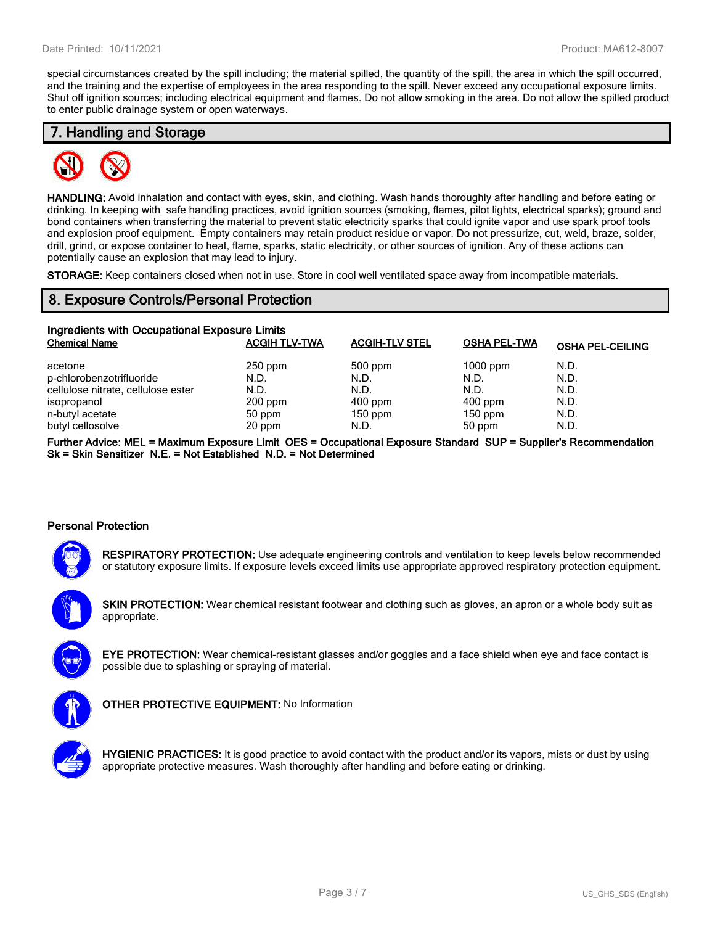special circumstances created by the spill including; the material spilled, the quantity of the spill, the area in which the spill occurred, and the training and the expertise of employees in the area responding to the spill. Never exceed any occupational exposure limits. Shut off ignition sources; including electrical equipment and flames. Do not allow smoking in the area. Do not allow the spilled product to enter public drainage system or open waterways.

## **7. Handling and Storage**



**HANDLING:** Avoid inhalation and contact with eyes, skin, and clothing. Wash hands thoroughly after handling and before eating or drinking. In keeping with safe handling practices, avoid ignition sources (smoking, flames, pilot lights, electrical sparks); ground and bond containers when transferring the material to prevent static electricity sparks that could ignite vapor and use spark proof tools and explosion proof equipment. Empty containers may retain product residue or vapor. Do not pressurize, cut, weld, braze, solder, drill, grind, or expose container to heat, flame, sparks, static electricity, or other sources of ignition. Any of these actions can potentially cause an explosion that may lead to injury.

**STORAGE:** Keep containers closed when not in use. Store in cool well ventilated space away from incompatible materials.

## **8. Exposure Controls/Personal Protection**

| Ingredients with Occupational Exposure Limits |                      |                       |                     |                         |
|-----------------------------------------------|----------------------|-----------------------|---------------------|-------------------------|
| <b>Chemical Name</b>                          | <b>ACGIH TLV-TWA</b> | <b>ACGIH-TLV STEL</b> | <b>OSHA PEL-TWA</b> | <b>OSHA PEL-CEILING</b> |
| acetone                                       | $250$ ppm            | 500 ppm               | $1000$ ppm          | N.D.                    |
| p-chlorobenzotrifluoride                      | N.D.                 | N.D.                  | N.D.                | N.D.                    |
| cellulose nitrate, cellulose ester            | N.D.                 | N.D.                  | N.D.                | N.D.                    |
| isopropanol                                   | $200$ ppm            | $400$ ppm             | $400$ ppm           | N.D.                    |
| n-butyl acetate                               | 50 ppm               | $150$ ppm             | $150$ ppm           | N.D.                    |
| butyl cellosolve                              | 20 ppm               | N.D.                  | 50 ppm              | N.D.                    |

**Further Advice: MEL = Maximum Exposure Limit OES = Occupational Exposure Standard SUP = Supplier's Recommendation Sk = Skin Sensitizer N.E. = Not Established N.D. = Not Determined**

#### **Personal Protection**



**RESPIRATORY PROTECTION:** Use adequate engineering controls and ventilation to keep levels below recommended or statutory exposure limits. If exposure levels exceed limits use appropriate approved respiratory protection equipment.

**SKIN PROTECTION:** Wear chemical resistant footwear and clothing such as gloves, an apron or a whole body suit as appropriate.

**EYE PROTECTION:** Wear chemical-resistant glasses and/or goggles and a face shield when eye and face contact is possible due to splashing or spraying of material.



**OTHER PROTECTIVE EQUIPMENT:** No Information



**HYGIENIC PRACTICES:** It is good practice to avoid contact with the product and/or its vapors, mists or dust by using appropriate protective measures. Wash thoroughly after handling and before eating or drinking.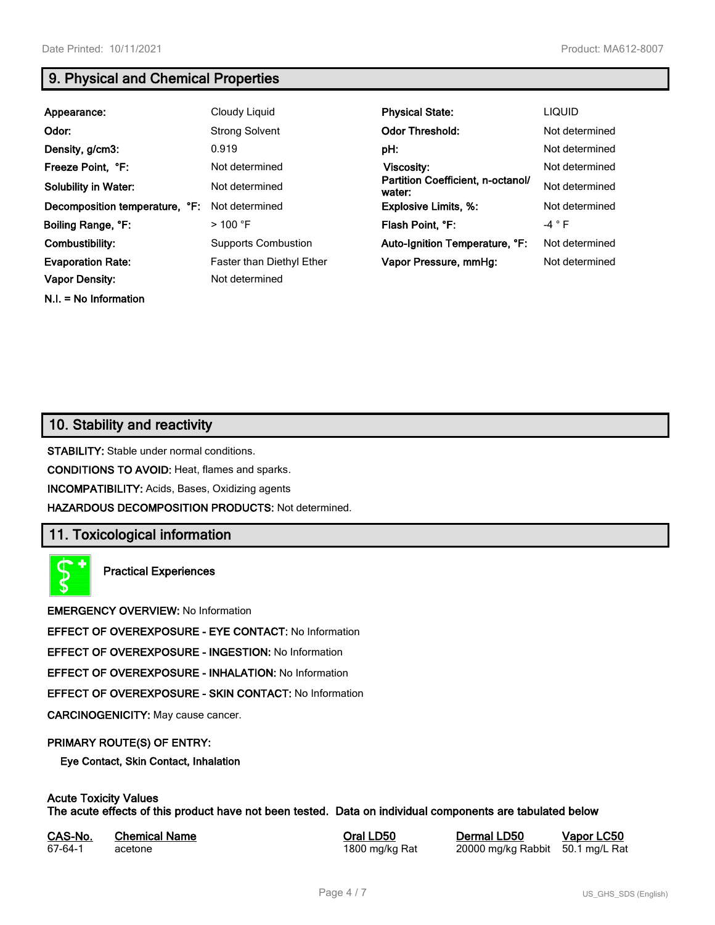**N.I. = No Information**

# **9. Physical and Chemical Properties**

| Appearance:                    | Cloudy Liquid              | <b>Physical State:</b>                      | <b>LIQUID</b>  |
|--------------------------------|----------------------------|---------------------------------------------|----------------|
| Odor:                          | <b>Strong Solvent</b>      | <b>Odor Threshold:</b>                      | Not determined |
| Density, g/cm3:                | 0.919                      | pH:                                         | Not determined |
| Freeze Point, °F:              | Not determined             | <b>Viscosity:</b>                           | Not determined |
| <b>Solubility in Water:</b>    | Not determined             | Partition Coefficient, n-octanol/<br>water: | Not determined |
| Decomposition temperature, °F: | Not determined             | <b>Explosive Limits, %:</b>                 | Not determined |
| Boiling Range, °F:             | $>100$ °F                  | Flash Point, °F:                            | $-4 ° F$       |
| Combustibility:                | <b>Supports Combustion</b> | Auto-Ignition Temperature, °F:              | Not determined |
| <b>Evaporation Rate:</b>       | Faster than Diethyl Ether  | Vapor Pressure, mmHg:                       | Not determined |
| <b>Vapor Density:</b>          | Not determined             |                                             |                |

## **10. Stability and reactivity**

**STABILITY:** Stable under normal conditions.

**CONDITIONS TO AVOID:** Heat, flames and sparks.

**INCOMPATIBILITY:** Acids, Bases, Oxidizing agents

**HAZARDOUS DECOMPOSITION PRODUCTS:** Not determined.

## **11. Toxicological information**

**Practical Experiences**

**EMERGENCY OVERVIEW:** No Information

**EFFECT OF OVEREXPOSURE - EYE CONTACT:** No Information

**EFFECT OF OVEREXPOSURE - INGESTION:** No Information

**EFFECT OF OVEREXPOSURE - INHALATION:** No Information

**EFFECT OF OVEREXPOSURE - SKIN CONTACT:** No Information

**CARCINOGENICITY:** May cause cancer.

#### **PRIMARY ROUTE(S) OF ENTRY:**

**Eye Contact, Skin Contact, Inhalation**

## **Acute Toxicity Values**

**The acute effects of this product have not been tested. Data on individual components are tabulated below**

| CAS-No. | <b>Chemical Name</b> |  |
|---------|----------------------|--|
| 67-64-1 | acetone              |  |

**CASA-No. 2018 CONO. In the CASE CASE CONOCO CONOCO CONOCO CONOCO CONOCO CONOCO CONOCO CONOCO CONOCO CONOCO CONOCO CONOCO CONOCO CONOCO CONOCO CONOCO CONOCO CONOCO CONOCO CONOCO CONOCO CONOCO CONOCO CONOCO CONOCO CONOCO** 1800 mg/kg Rat 20000 mg/kg Rabbit 50.1 mg/L Rat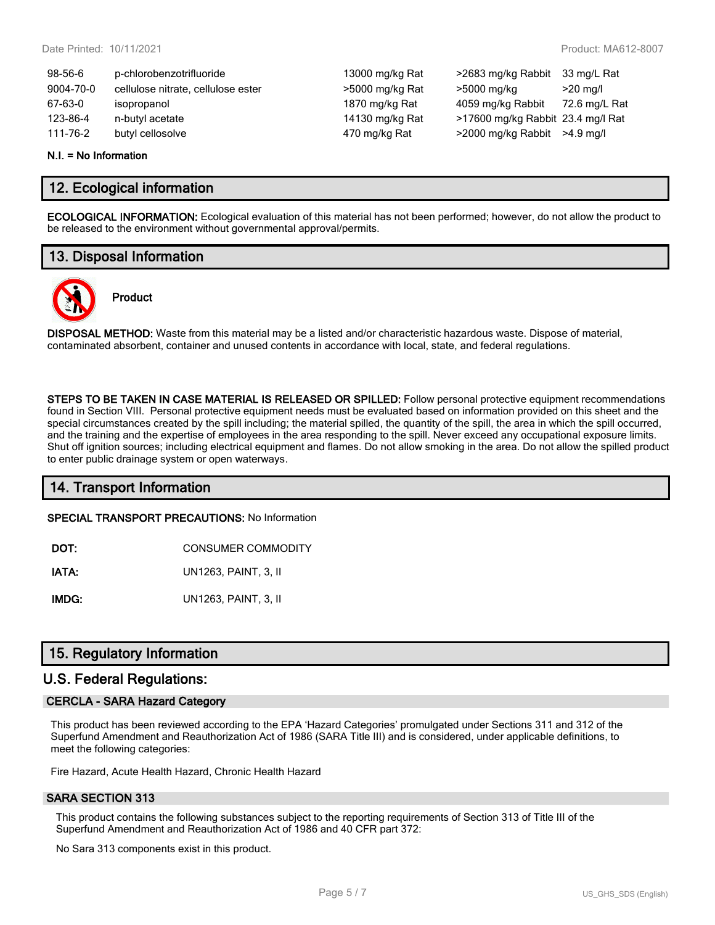13000 mg/kg Rat >2683 mg/kg Rabbit 33 mg/L Rat >5000 mg/kg Rat >5000 mg/kg >20 mg/l 1870 mg/kg Rat 4059 mg/kg Rabbit 72.6 mg/L Rat 14130 mg/kg Rat >17600 mg/kg Rabbit 23.4 mg/l Rat 170 mg/kg Rat >2000 mg/kg Rabbit >4.9 mg/l

| 98-56-6   | p-chlorobenzotrifluoride           |
|-----------|------------------------------------|
| 9004-70-0 | cellulose nitrate, cellulose ester |
| 67-63-0   | isopropanol                        |
| 123-86-4  | n-butyl acetate                    |
| 111-76-2  | butyl cellosolve                   |

#### **N.I. = No Information**

## **12. Ecological information**

**ECOLOGICAL INFORMATION:** Ecological evaluation of this material has not been performed; however, do not allow the product to be released to the environment without governmental approval/permits.

## **13. Disposal Information**



# **Product**

**DISPOSAL METHOD:** Waste from this material may be a listed and/or characteristic hazardous waste. Dispose of material, contaminated absorbent, container and unused contents in accordance with local, state, and federal regulations.

**STEPS TO BE TAKEN IN CASE MATERIAL IS RELEASED OR SPILLED:** Follow personal protective equipment recommendations found in Section VIII. Personal protective equipment needs must be evaluated based on information provided on this sheet and the special circumstances created by the spill including; the material spilled, the quantity of the spill, the area in which the spill occurred, and the training and the expertise of employees in the area responding to the spill. Never exceed any occupational exposure limits. Shut off ignition sources; including electrical equipment and flames. Do not allow smoking in the area. Do not allow the spilled product to enter public drainage system or open waterways.

## **14. Transport Information**

**SPECIAL TRANSPORT PRECAUTIONS:** No Information

**DOT:** CONSUMER COMMODITY

**IATA:** UN1263, PAINT, 3, II

**IMDG:** UN1263, PAINT, 3, II

## **15. Regulatory Information**

## **U.S. Federal Regulations:**

#### **CERCLA - SARA Hazard Category**

This product has been reviewed according to the EPA 'Hazard Categories' promulgated under Sections 311 and 312 of the Superfund Amendment and Reauthorization Act of 1986 (SARA Title III) and is considered, under applicable definitions, to meet the following categories:

Fire Hazard, Acute Health Hazard, Chronic Health Hazard

#### **SARA SECTION 313**

This product contains the following substances subject to the reporting requirements of Section 313 of Title III of the Superfund Amendment and Reauthorization Act of 1986 and 40 CFR part 372:

No Sara 313 components exist in this product.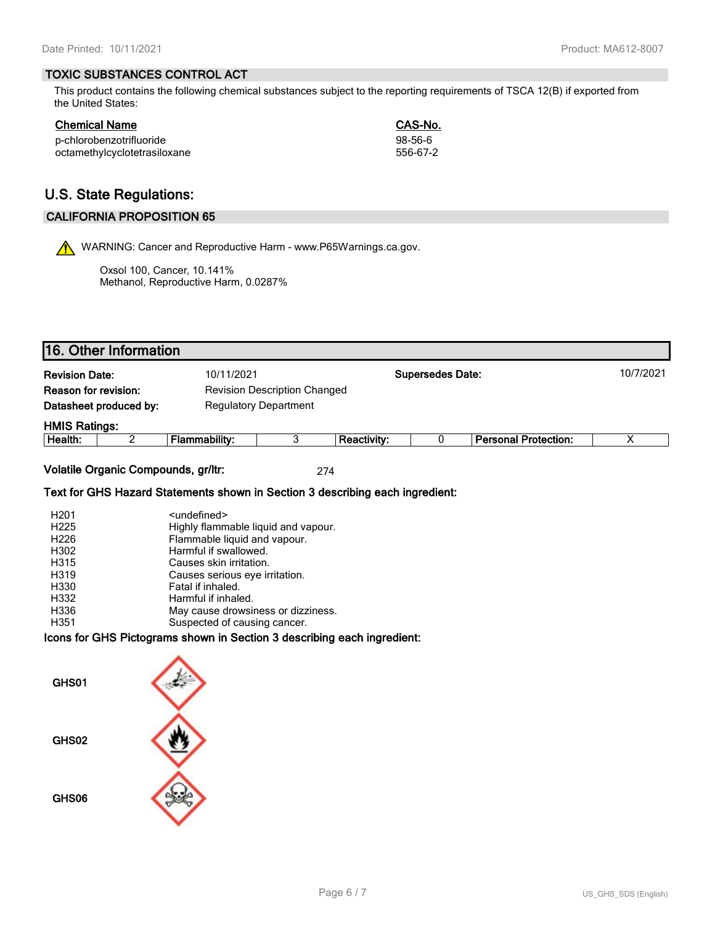### **TOXIC SUBSTANCES CONTROL ACT**

This product contains the following chemical substances subject to the reporting requirements of TSCA 12(B) if exported from the United States:

| <b>Chemical Name</b>         | <b>CAS-No.</b> |
|------------------------------|----------------|
| p-chlorobenzotrifluoride     | 98-56-6        |
| octamethylcyclotetrasiloxane | 556-67-2       |

# **U.S. State Regulations:**

#### **CALIFORNIA PROPOSITION 65**

WARNING: Cancer and Reproductive Harm - www.P65Warnings.ca.gov.

Oxsol 100, Cancer, 10.141% Methanol, Reproductive Harm, 0.0287%

|           |                                     |                         |                        |               | 16. Other Information |                       |
|-----------|-------------------------------------|-------------------------|------------------------|---------------|-----------------------|-----------------------|
| 10/7/2021 |                                     | <b>Supersedes Date:</b> |                        | 10/11/2021    |                       | <b>Revision Date:</b> |
|           | <b>Revision Description Changed</b> |                         |                        |               | Reason for revision:  |                       |
|           | <b>Regulatory Department</b>        |                         | Datasheet produced by: |               |                       |                       |
|           |                                     |                         |                        |               |                       |                       |
|           | <b>Personal Protection:</b>         |                         | <b>Reactivity:</b>     | Flammability: |                       | Health:               |
|           |                                     |                         |                        |               |                       | <b>HMIS Ratings:</b>  |

**Volatile Organic Compounds, gr/ltr:** 274

#### **Text for GHS Hazard Statements shown in Section 3 describing each ingredient:**

| H <sub>201</sub> | <undefined></undefined>             |
|------------------|-------------------------------------|
| H <sub>225</sub> | Highly flammable liquid and vapour. |
| H <sub>226</sub> | Flammable liquid and vapour.        |
| H302             | Harmful if swallowed.               |
| H315             | Causes skin irritation.             |
| H319             | Causes serious eye irritation.      |
| H330             | Fatal if inhaled.                   |
| H332             | Harmful if inhaled.                 |
| H336             | May cause drowsiness or dizziness.  |
| H351             | Suspected of causing cancer.        |

#### **Icons for GHS Pictograms shown in Section 3 describing each ingredient:**